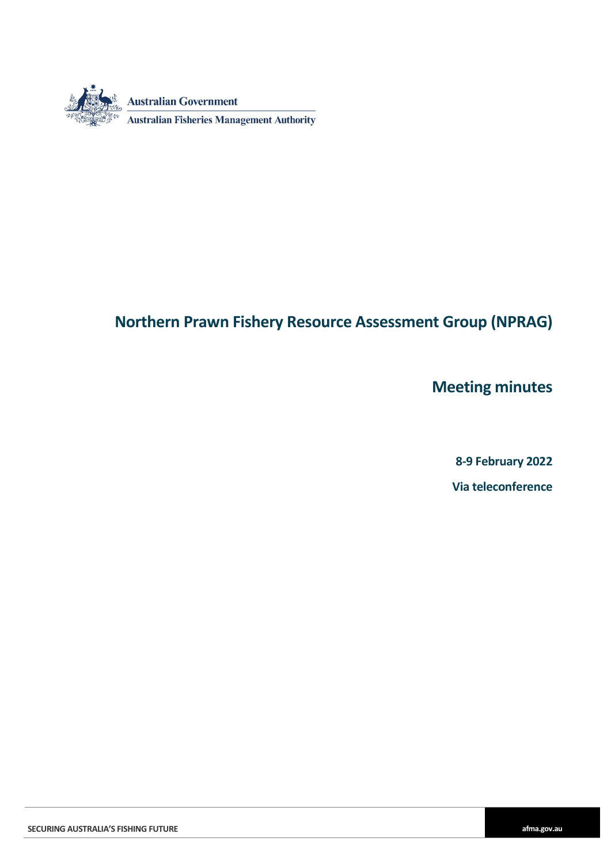

## **Northern Prawn Fishery Resource Assessment Group (NPRAG)**

**Meeting minutes**

**8-9 February 2022 Via teleconference**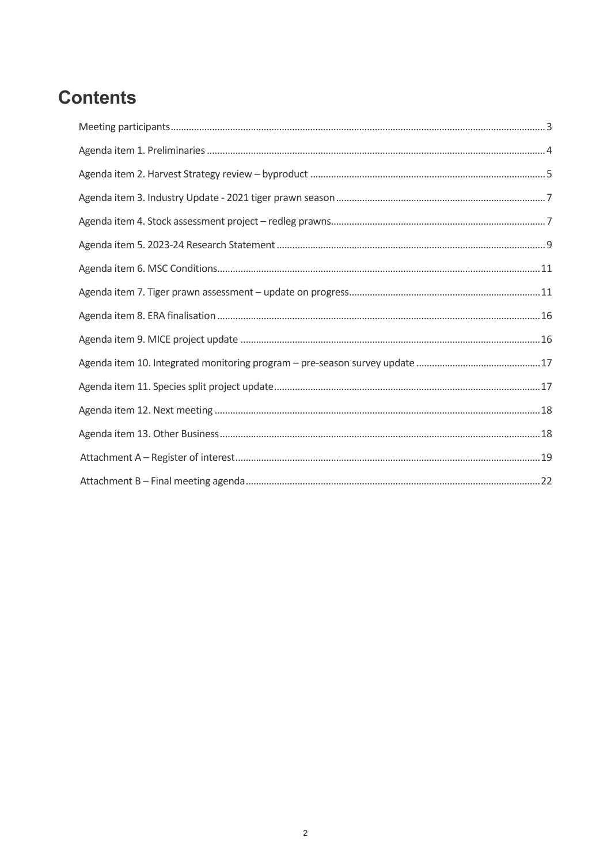# **Contents**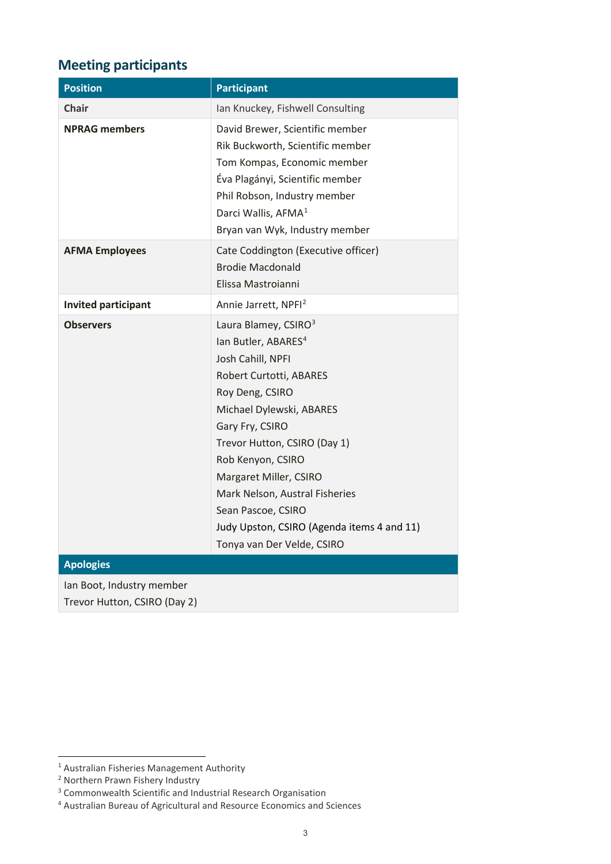## <span id="page-2-0"></span>**Meeting participants**

| <b>Position</b>                                           | <b>Participant</b>                                                                                                                                                                                                                                                                                                                                                                                       |
|-----------------------------------------------------------|----------------------------------------------------------------------------------------------------------------------------------------------------------------------------------------------------------------------------------------------------------------------------------------------------------------------------------------------------------------------------------------------------------|
| <b>Chair</b>                                              | Ian Knuckey, Fishwell Consulting                                                                                                                                                                                                                                                                                                                                                                         |
| <b>NPRAG members</b>                                      | David Brewer, Scientific member<br>Rik Buckworth, Scientific member<br>Tom Kompas, Economic member<br>Éva Plagányi, Scientific member<br>Phil Robson, Industry member<br>Darci Wallis, AFMA <sup>1</sup><br>Bryan van Wyk, Industry member                                                                                                                                                               |
| <b>AFMA Employees</b>                                     | Cate Coddington (Executive officer)<br><b>Brodie Macdonald</b><br>Elissa Mastroianni                                                                                                                                                                                                                                                                                                                     |
| <b>Invited participant</b>                                | Annie Jarrett, NPFI <sup>2</sup>                                                                                                                                                                                                                                                                                                                                                                         |
| <b>Observers</b>                                          | Laura Blamey, CSIRO <sup>3</sup><br>lan Butler, ABARES <sup>4</sup><br>Josh Cahill, NPFI<br>Robert Curtotti, ABARES<br>Roy Deng, CSIRO<br>Michael Dylewski, ABARES<br>Gary Fry, CSIRO<br>Trevor Hutton, CSIRO (Day 1)<br>Rob Kenyon, CSIRO<br>Margaret Miller, CSIRO<br>Mark Nelson, Austral Fisheries<br>Sean Pascoe, CSIRO<br>Judy Upston, CSIRO (Agenda items 4 and 11)<br>Tonya van Der Velde, CSIRO |
| <b>Apologies</b>                                          |                                                                                                                                                                                                                                                                                                                                                                                                          |
| Ian Boot, Industry member<br>Trevor Hutton, CSIRO (Day 2) |                                                                                                                                                                                                                                                                                                                                                                                                          |

<span id="page-2-1"></span><sup>-</sup><sup>1</sup> Australian Fisheries Management Authority

<span id="page-2-2"></span><sup>&</sup>lt;sup>2</sup> Northern Prawn Fishery Industry

<sup>&</sup>lt;sup>3</sup> Commonwealth Scientific and Industrial Research Organisation

<span id="page-2-4"></span><span id="page-2-3"></span><sup>4</sup> Australian Bureau of Agricultural and Resource Economics and Sciences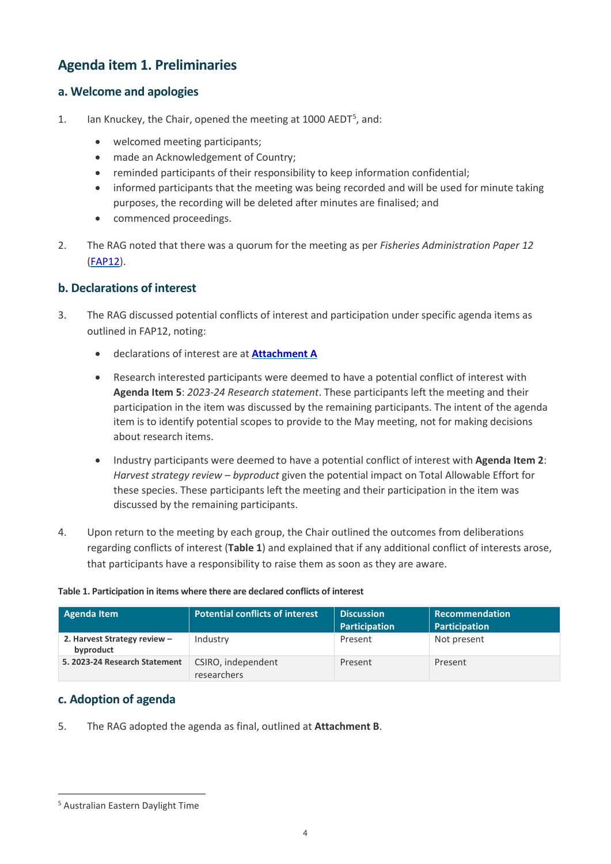### <span id="page-3-0"></span>**Agenda item 1. Preliminaries**

### **a. Welcome and apologies**

- 1. Ian Knuckey, the Chair, opened the meeting at 1000 AEDT<sup>[5](#page-3-1)</sup>, and:
	- welcomed meeting participants;
	- made an Acknowledgement of Country;
	- reminded participants of their responsibility to keep information confidential;
	- informed participants that the meeting was being recorded and will be used for minute taking purposes, the recording will be deleted after minutes are finalised; and
	- commenced proceedings.
- 2. The RAG noted that there was a quorum for the meeting as per *Fisheries Administration Paper 12*  [\(FAP12\)](https://www.afma.gov.au/about/fisheries-management-policies/fisheries-administration-paper-12-resource-assessment-groups).

### **b. Declarations of interest**

- 3. The RAG discussed potential conflicts of interest and participation under specific agenda items as outlined in FAP12, noting:
	- declarations of interest are at **[Attachment](#page-17-2) A**
	- Research interested participants were deemed to have a potential conflict of interest with **Agenda Item 5**: *2023-24 Research statement*. These participants left the meeting and their participation in the item was discussed by the remaining participants. The intent of the agenda item is to identify potential scopes to provide to the May meeting, not for making decisions about research items.
	- Industry participants were deemed to have a potential conflict of interest with **Agenda Item 2**: *Harvest strategy review – byproduct* given the potential impact on Total Allowable Effort for these species. These participants left the meeting and their participation in the item was discussed by the remaining participants.
- 4. Upon return to the meeting by each group, the Chair outlined the outcomes from deliberations regarding conflicts of interest (**Table 1**) and explained that if any additional conflict of interests arose, that participants have a responsibility to raise them as soon as they are aware.

#### **Agenda Item Potential conflicts of interest Discussion Participation Recommendation Participation 2. Harvest Strategy review – byproduct** Industry **Present** Present Not present **5. 2023-24 Research Statement** CSIRO, independent Present Present

### **Table 1. Participation in items where there are declared conflicts of interest**

### **c. Adoption of agenda**

5. The RAG adopted the agenda as final, outlined at **Attachment B**.

researchers

<span id="page-3-1"></span><sup>-</sup><sup>5</sup> Australian Eastern Daylight Time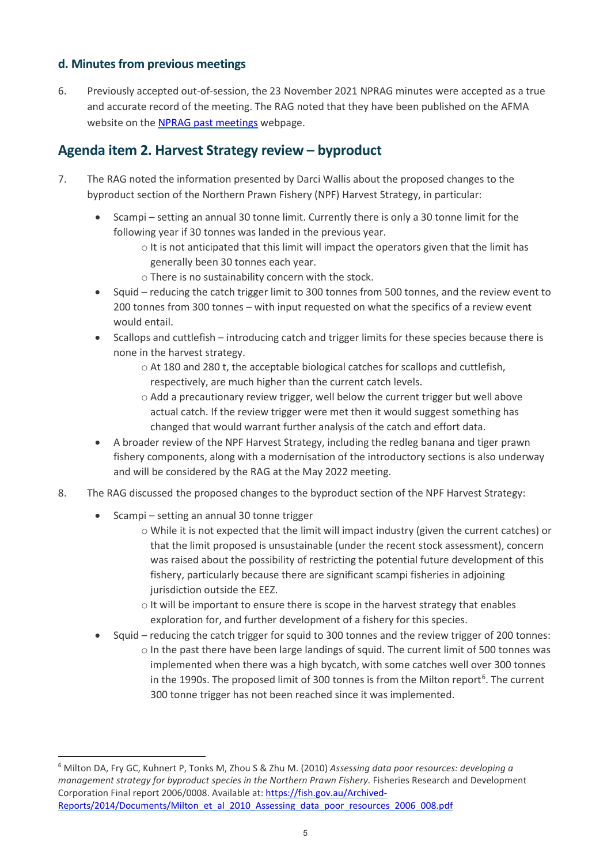### **d. Minutes from previous meetings**

6. Previously accepted out-of-session, the 23 November 2021 NPRAG minutes were accepted as a true and accurate record of the meeting. The RAG noted that they have been published on the AFMA website on the [NPRAG past meetings](https://www.afma.gov.au/fisheries/committees/northern-prawn-resource-assessment-group/northern-prawn-fishery-resource-assessment-group-past-meetings) webpage.

### <span id="page-4-0"></span>**Agenda item 2. Harvest Strategy review – byproduct**

- 7. The RAG noted the information presented by Darci Wallis about the proposed changes to the byproduct section of the Northern Prawn Fishery (NPF) Harvest Strategy, in particular:
	- Scampi setting an annual 30 tonne limit. Currently there is only a 30 tonne limit for the following year if 30 tonnes was landed in the previous year.
		- $\circ$  It is not anticipated that this limit will impact the operators given that the limit has generally been 30 tonnes each year.
		- o There is no sustainability concern with the stock.
	- Squid reducing the catch trigger limit to 300 tonnes from 500 tonnes, and the review event to 200 tonnes from 300 tonnes – with input requested on what the specifics of a review event would entail.
	- Scallops and cuttlefish introducing catch and trigger limits for these species because there is none in the harvest strategy.
		- $\circ$  At 180 and 280 t, the acceptable biological catches for scallops and cuttlefish, respectively, are much higher than the current catch levels.
		- o Add a precautionary review trigger, well below the current trigger but well above actual catch. If the review trigger were met then it would suggest something has changed that would warrant further analysis of the catch and effort data.
	- A broader review of the NPF Harvest Strategy, including the redleg banana and tiger prawn fishery components, along with a modernisation of the introductory sections is also underway and will be considered by the RAG at the May 2022 meeting.
- 8. The RAG discussed the proposed changes to the byproduct section of the NPF Harvest Strategy:
	- Scampi setting an annual 30 tonne trigger

- o While it is not expected that the limit will impact industry (given the current catches) or that the limit proposed is unsustainable (under the recent stock assessment), concern was raised about the possibility of restricting the potential future development of this fishery, particularly because there are significant scampi fisheries in adjoining jurisdiction outside the EEZ.
- $\circ$  It will be important to ensure there is scope in the harvest strategy that enables exploration for, and further development of a fishery for this species.
- Squid reducing the catch trigger for squid to 300 tonnes and the review trigger of 200 tonnes:
	- o In the past there have been large landings of squid. The current limit of 500 tonnes was implemented when there was a high bycatch, with some catches well over 300 tonnes in the 1990s. The proposed limit of 300 tonnes is from the Milton report<sup>[6](#page-4-1)</sup>. The current 300 tonne trigger has not been reached since it was implemented.

<span id="page-4-1"></span><sup>6</sup> Milton DA, Fry GC, Kuhnert P, Tonks M, Zhou S & Zhu M. (2010) *Assessing data poor resources: developing a management strategy for byproduct species in the Northern Prawn Fishery.* Fisheries Research and Development Corporation Final report 2006/0008. Available at: [https://fish.gov.au/Archived-](https://fish.gov.au/Archived-Reports/2014/Documents/Milton_et_al_2010_Assessing_data_poor_resources_2006_008.pdf)[Reports/2014/Documents/Milton\\_et\\_al\\_2010\\_Assessing\\_data\\_poor\\_resources\\_2006\\_008.pdf](https://fish.gov.au/Archived-Reports/2014/Documents/Milton_et_al_2010_Assessing_data_poor_resources_2006_008.pdf)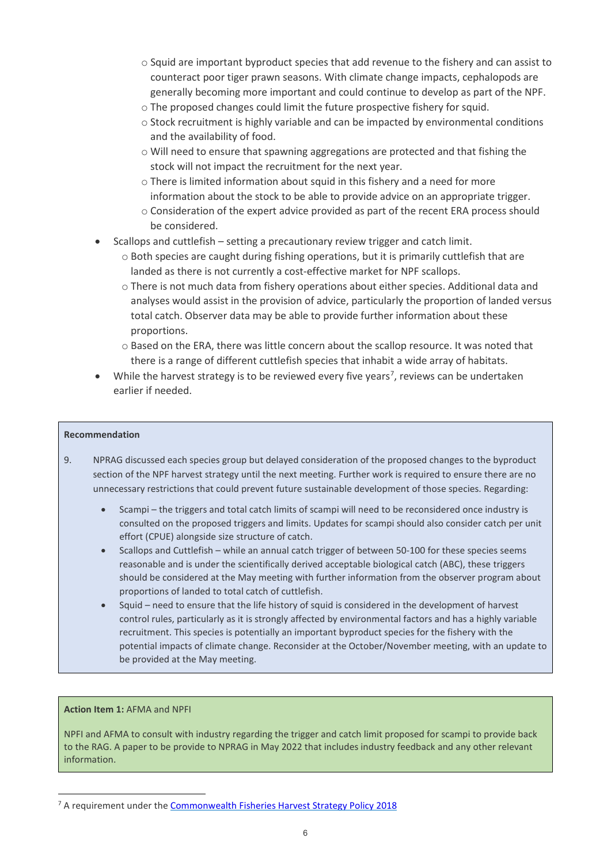- o Squid are important byproduct species that add revenue to the fishery and can assist to counteract poor tiger prawn seasons. With climate change impacts, cephalopods are generally becoming more important and could continue to develop as part of the NPF.
- o The proposed changes could limit the future prospective fishery for squid.
- o Stock recruitment is highly variable and can be impacted by environmental conditions and the availability of food.
- o Will need to ensure that spawning aggregations are protected and that fishing the stock will not impact the recruitment for the next year.
- o There is limited information about squid in this fishery and a need for more information about the stock to be able to provide advice on an appropriate trigger.
- o Consideration of the expert advice provided as part of the recent ERA process should be considered.
- Scallops and cuttlefish setting a precautionary review trigger and catch limit.
	- $\circ$  Both species are caught during fishing operations, but it is primarily cuttlefish that are landed as there is not currently a cost-effective market for NPF scallops.
	- o There is not much data from fishery operations about either species. Additional data and analyses would assist in the provision of advice, particularly the proportion of landed versus total catch. Observer data may be able to provide further information about these proportions.
	- o Based on the ERA, there was little concern about the scallop resource. It was noted that there is a range of different cuttlefish species that inhabit a wide array of habitats.
- While the harvest strategy is to be reviewed every five years<sup>[7](#page-5-0)</sup>, reviews can be undertaken earlier if needed.

#### **Recommendation**

- 9. NPRAG discussed each species group but delayed consideration of the proposed changes to the byproduct section of the NPF harvest strategy until the next meeting. Further work is required to ensure there are no unnecessary restrictions that could prevent future sustainable development of those species. Regarding:
	- Scampi the triggers and total catch limits of scampi will need to be reconsidered once industry is consulted on the proposed triggers and limits. Updates for scampi should also consider catch per unit effort (CPUE) alongside size structure of catch.
	- Scallops and Cuttlefish while an annual catch trigger of between 50-100 for these species seems reasonable and is under the scientifically derived acceptable biological catch (ABC), these triggers should be considered at the May meeting with further information from the observer program about proportions of landed to total catch of cuttlefish.
	- Squid need to ensure that the life history of squid is considered in the development of harvest control rules, particularly as it is strongly affected by environmental factors and has a highly variable recruitment. This species is potentially an important byproduct species for the fishery with the potential impacts of climate change. Reconsider at the October/November meeting, with an update to be provided at the May meeting.

#### **Action Item 1:** AFMA and NPFI

-

NPFI and AFMA to consult with industry regarding the trigger and catch limit proposed for scampi to provide back to the RAG. A paper to be provide to NPRAG in May 2022 that includes industry feedback and any other relevant information.

<span id="page-5-0"></span> $<sup>7</sup>$  A requirement under the [Commonwealth Fisheries Harvest Strategy Policy 2018](https://www.awe.gov.au/agriculture-land/fisheries/domestic/harvest_strategy_policy#:%7E:text=The%20harvest%20strategy%20policy%20provides,maintaining%20stocks%20at%20sustainable%20levels.)</sup>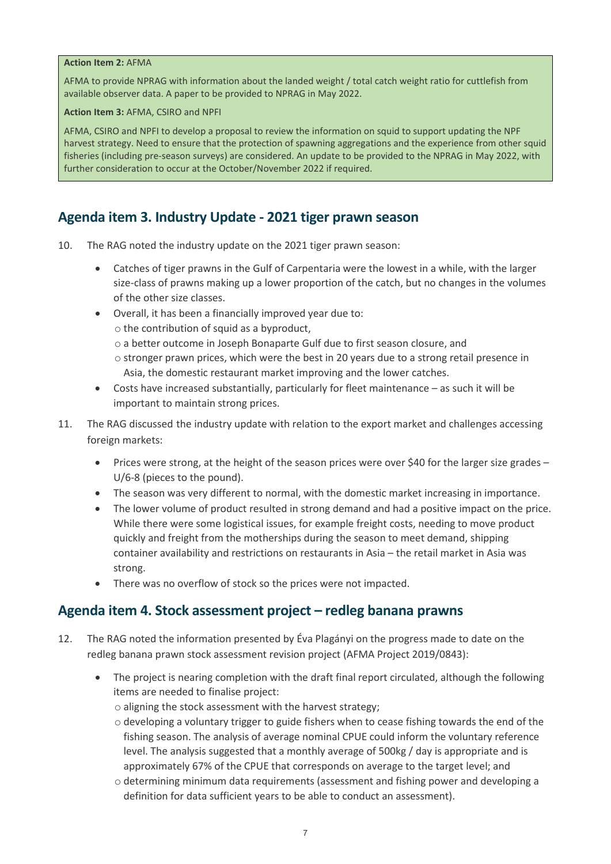#### **Action Item 2:** AFMA

AFMA to provide NPRAG with information about the landed weight / total catch weight ratio for cuttlefish from available observer data. A paper to be provided to NPRAG in May 2022.

**Action Item 3:** AFMA, CSIRO and NPFI

AFMA, CSIRO and NPFI to develop a proposal to review the information on squid to support updating the NPF harvest strategy. Need to ensure that the protection of spawning aggregations and the experience from other squid fisheries (including pre-season surveys) are considered. An update to be provided to the NPRAG in May 2022, with further consideration to occur at the October/November 2022 if required.

### <span id="page-6-0"></span>**Agenda item 3. Industry Update - 2021 tiger prawn season**

- 10. The RAG noted the industry update on the 2021 tiger prawn season:
	- Catches of tiger prawns in the Gulf of Carpentaria were the lowest in a while, with the larger size-class of prawns making up a lower proportion of the catch, but no changes in the volumes of the other size classes.
	- Overall, it has been a financially improved year due to:
		- o the contribution of squid as a byproduct,
		- o a better outcome in Joseph Bonaparte Gulf due to first season closure, and
		- o stronger prawn prices, which were the best in 20 years due to a strong retail presence in Asia, the domestic restaurant market improving and the lower catches.
	- Costs have increased substantially, particularly for fleet maintenance as such it will be important to maintain strong prices.
- 11. The RAG discussed the industry update with relation to the export market and challenges accessing foreign markets:
	- Prices were strong, at the height of the season prices were over \$40 for the larger size grades U/6-8 (pieces to the pound).
	- The season was very different to normal, with the domestic market increasing in importance.
	- The lower volume of product resulted in strong demand and had a positive impact on the price. While there were some logistical issues, for example freight costs, needing to move product quickly and freight from the motherships during the season to meet demand, shipping container availability and restrictions on restaurants in Asia – the retail market in Asia was strong.
	- There was no overflow of stock so the prices were not impacted.

### <span id="page-6-1"></span>**Agenda item 4. Stock assessment project – redleg banana prawns**

- 12. The RAG noted the information presented by Éva Plagányi on the progress made to date on the redleg banana prawn stock assessment revision project (AFMA Project 2019/0843):
	- The project is nearing completion with the draft final report circulated, although the following items are needed to finalise project:
		- o aligning the stock assessment with the harvest strategy;
		- o developing a voluntary trigger to guide fishers when to cease fishing towards the end of the fishing season. The analysis of average nominal CPUE could inform the voluntary reference level. The analysis suggested that a monthly average of 500kg / day is appropriate and is approximately 67% of the CPUE that corresponds on average to the target level; and
		- o determining minimum data requirements (assessment and fishing power and developing a definition for data sufficient years to be able to conduct an assessment).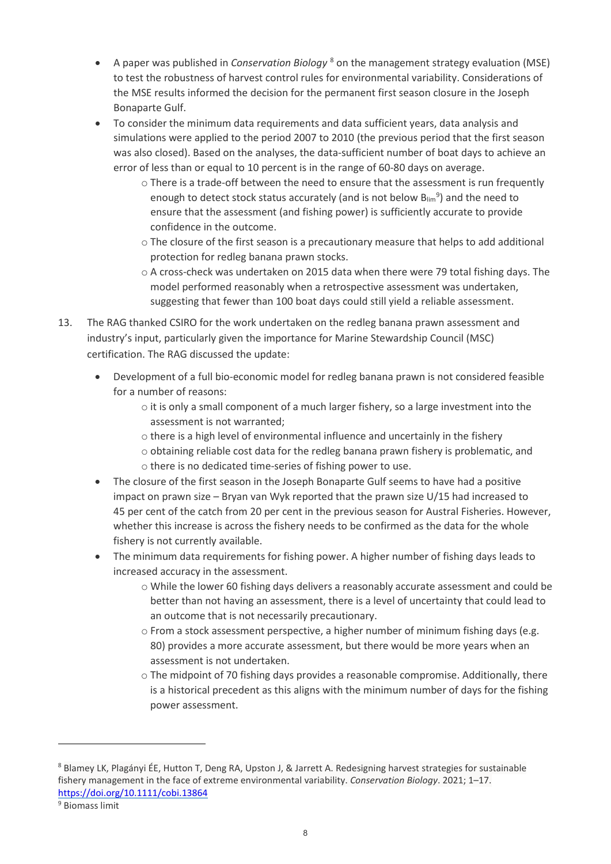- A paper was published in *Conservation Biology* [8](#page-7-0) on the management strategy evaluation (MSE) to test the robustness of harvest control rules for environmental variability. Considerations of the MSE results informed the decision for the permanent first season closure in the Joseph Bonaparte Gulf.
- To consider the minimum data requirements and data sufficient years, data analysis and simulations were applied to the period 2007 to 2010 (the previous period that the first season was also closed). Based on the analyses, the data-sufficient number of boat days to achieve an error of less than or equal to 10 percent is in the range of 60-80 days on average.
	- o There is a trade-off between the need to ensure that the assessment is run frequently enough to detect stock status accurately (and is not below  $B_{lim}$ <sup>[9](#page-7-1)</sup>) and the need to ensure that the assessment (and fishing power) is sufficiently accurate to provide confidence in the outcome.
	- $\circ$  The closure of the first season is a precautionary measure that helps to add additional protection for redleg banana prawn stocks.
	- $\circ$  A cross-check was undertaken on 2015 data when there were 79 total fishing days. The model performed reasonably when a retrospective assessment was undertaken, suggesting that fewer than 100 boat days could still yield a reliable assessment.
- 13. The RAG thanked CSIRO for the work undertaken on the redleg banana prawn assessment and industry's input, particularly given the importance for Marine Stewardship Council (MSC) certification. The RAG discussed the update:
	- Development of a full bio-economic model for redleg banana prawn is not considered feasible for a number of reasons:
		- $\circ$  it is only a small component of a much larger fishery, so a large investment into the assessment is not warranted;
		- o there is a high level of environmental influence and uncertainly in the fishery
		- o obtaining reliable cost data for the redleg banana prawn fishery is problematic, and
		- o there is no dedicated time-series of fishing power to use.
	- The closure of the first season in the Joseph Bonaparte Gulf seems to have had a positive impact on prawn size – Bryan van Wyk reported that the prawn size U/15 had increased to 45 per cent of the catch from 20 per cent in the previous season for Austral Fisheries. However, whether this increase is across the fishery needs to be confirmed as the data for the whole fishery is not currently available.
	- The minimum data requirements for fishing power. A higher number of fishing days leads to increased accuracy in the assessment.
		- o While the lower 60 fishing days delivers a reasonably accurate assessment and could be better than not having an assessment, there is a level of uncertainty that could lead to an outcome that is not necessarily precautionary.
		- o From a stock assessment perspective, a higher number of minimum fishing days (e.g. 80) provides a more accurate assessment, but there would be more years when an assessment is not undertaken.
		- $\circ$  The midpoint of 70 fishing days provides a reasonable compromise. Additionally, there is a historical precedent as this aligns with the minimum number of days for the fishing power assessment.

<span id="page-7-0"></span><sup>8</sup> Blamey LK, Plagányi ÉE, Hutton T, Deng RA, Upston J, & Jarrett A. Redesigning harvest strategies for sustainable fishery management in the face of extreme environmental variability. *Conservation Biology*. 2021; 1–17. <https://doi.org/10.1111/cobi.13864>

<span id="page-7-1"></span><sup>9</sup> Biomass limit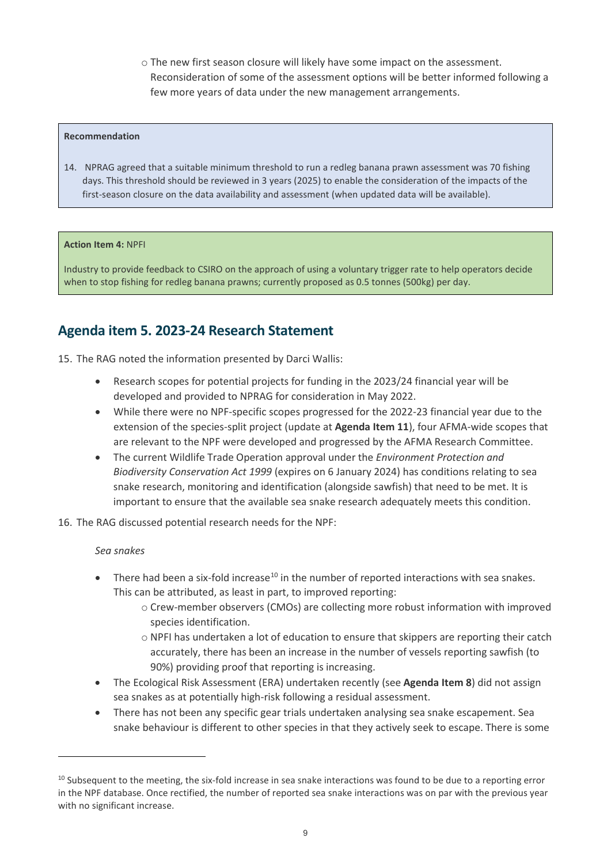o The new first season closure will likely have some impact on the assessment. Reconsideration of some of the assessment options will be better informed following a few more years of data under the new management arrangements.

#### **Recommendation**

14. NPRAG agreed that a suitable minimum threshold to run a redleg banana prawn assessment was 70 fishing days. This threshold should be reviewed in 3 years (2025) to enable the consideration of the impacts of the first-season closure on the data availability and assessment (when updated data will be available).

#### **Action Item 4:** NPFI

Industry to provide feedback to CSIRO on the approach of using a voluntary trigger rate to help operators decide when to stop fishing for redleg banana prawns; currently proposed as 0.5 tonnes (500kg) per day.

### <span id="page-8-0"></span>**Agenda item 5. 2023-24 Research Statement**

15. The RAG noted the information presented by Darci Wallis:

- Research scopes for potential projects for funding in the 2023/24 financial year will be developed and provided to NPRAG for consideration in May 2022.
- While there were no NPF-specific scopes progressed for the 2022-23 financial year due to the extension of the species-split project (update at **Agenda Item 11**), four AFMA-wide scopes that are relevant to the NPF were developed and progressed by the AFMA Research Committee.
- The current Wildlife Trade Operation approval under the *Environment Protection and Biodiversity Conservation Act 1999* (expires on 6 January 2024) has conditions relating to sea snake research, monitoring and identification (alongside sawfish) that need to be met. It is important to ensure that the available sea snake research adequately meets this condition.
- 16. The RAG discussed potential research needs for the NPF:

#### *Sea snakes*

- There had been a six-fold increase<sup>[10](#page-8-1)</sup> in the number of reported interactions with sea snakes. This can be attributed, as least in part, to improved reporting:
	- o Crew-member observers (CMOs) are collecting more robust information with improved species identification.
	- o NPFI has undertaken a lot of education to ensure that skippers are reporting their catch accurately, there has been an increase in the number of vessels reporting sawfish (to 90%) providing proof that reporting is increasing.
- The Ecological Risk Assessment (ERA) undertaken recently (see **Agenda Item 8**) did not assign sea snakes as at potentially high-risk following a residual assessment.
- There has not been any specific gear trials undertaken analysing sea snake escapement. Sea snake behaviour is different to other species in that they actively seek to escape. There is some

<span id="page-8-1"></span> $10$  Subsequent to the meeting, the six-fold increase in sea snake interactions was found to be due to a reporting error in the NPF database. Once rectified, the number of reported sea snake interactions was on par with the previous year with no significant increase.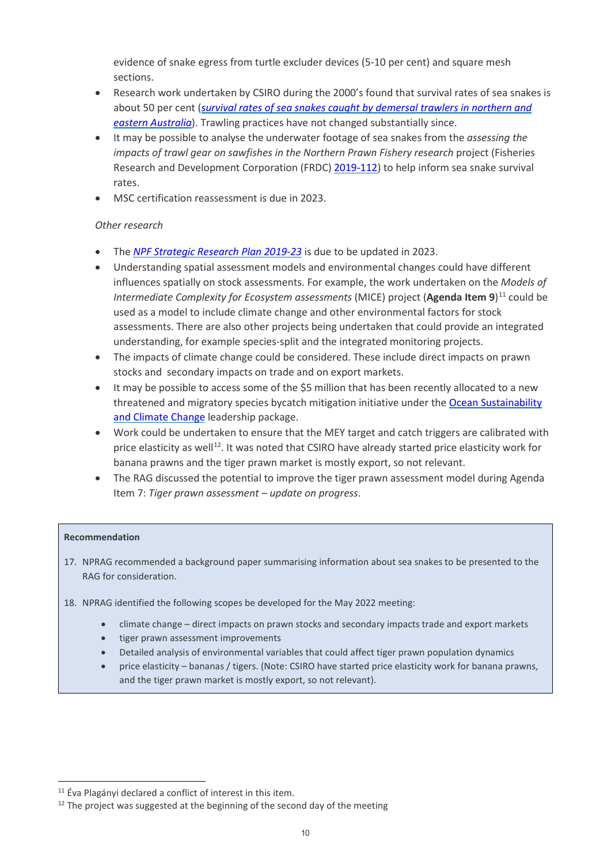evidence of snake egress from turtle excluder devices (5-10 per cent) and square mesh sections.

- Research work undertaken by CSIRO during the 2000's found that survival rates of sea snakes is about 50 per cent (*survival rates [of sea snakes caught by demersal trawlers in northern and](https://www.sciencedirect.com/science/article/abs/pii/S0006320701000313?via%3Dihub)  [eastern Australia](https://www.sciencedirect.com/science/article/abs/pii/S0006320701000313?via%3Dihub)*). Trawling practices have not changed substantially since.
- It may be possible to analyse the underwater footage of sea snakes from the *assessing the impacts of trawl gear on sawfishes in the Northern Prawn Fishery research* project (Fisheries Research and Development Corporation (FRDC[\) 2019-112\)](https://www.frdc.com.au/project/2019-112) to help inform sea snake survival rates.
- MSC certification reassessment is due in 2023.

### *Other research*

- The *[NPF Strategic Research Plan 2019-23](https://www.afma.gov.au/sites/default/files/npf_five_year_strategic_research_plan_2019-23_-_final.pdf)* is due to be updated in 2023.
- Understanding spatial assessment models and environmental changes could have different influences spatially on stock assessments. For example, the work undertaken on the *Models of Intermediate Complexity for Ecosystem assessments* (MICE) project (**Agenda Item 9**) [11](#page-9-0) could be used as a model to include climate change and other environmental factors for stock assessments. There are also other projects being undertaken that could provide an integrated understanding, for example species-split and the integrated monitoring projects.
- The impacts of climate change could be considered. These include direct impacts on prawn stocks and secondary impacts on trade and on export markets.
- It may be possible to access some of the \$5 million that has been recently allocated to a new threatened and migratory species bycatch mitigation initiative under th[e Ocean Sustainability](https://www.awe.gov.au/science-research/climate-change/ocean-sustainability)  [and Climate Change](https://www.awe.gov.au/science-research/climate-change/ocean-sustainability) leadership package.
- Work could be undertaken to ensure that the MEY target and catch triggers are calibrated with price elasticity as well<sup>12</sup>. It was noted that CSIRO have already started price elasticity work for banana prawns and the tiger prawn market is mostly export, so not relevant.
- The RAG discussed the potential to improve the tiger prawn assessment model during Agenda Item 7: *Tiger prawn assessment – update on progress*.

#### **Recommendation**

- 17. NPRAG recommended a background paper summarising information about sea snakes to be presented to the RAG for consideration.
- 18. NPRAG identified the following scopes be developed for the May 2022 meeting:
	- climate change direct impacts on prawn stocks and secondary impacts trade and export markets
	- tiger prawn assessment improvements
	- Detailed analysis of environmental variables that could affect tiger prawn population dynamics
	- price elasticity bananas / tigers. (Note: CSIRO have started price elasticity work for banana prawns, and the tiger prawn market is mostly export, so not relevant).

<span id="page-9-0"></span><sup>&</sup>lt;sup>11</sup> Éva Plagányi declared a conflict of interest in this item.

<span id="page-9-1"></span> $12$  The project was suggested at the beginning of the second day of the meeting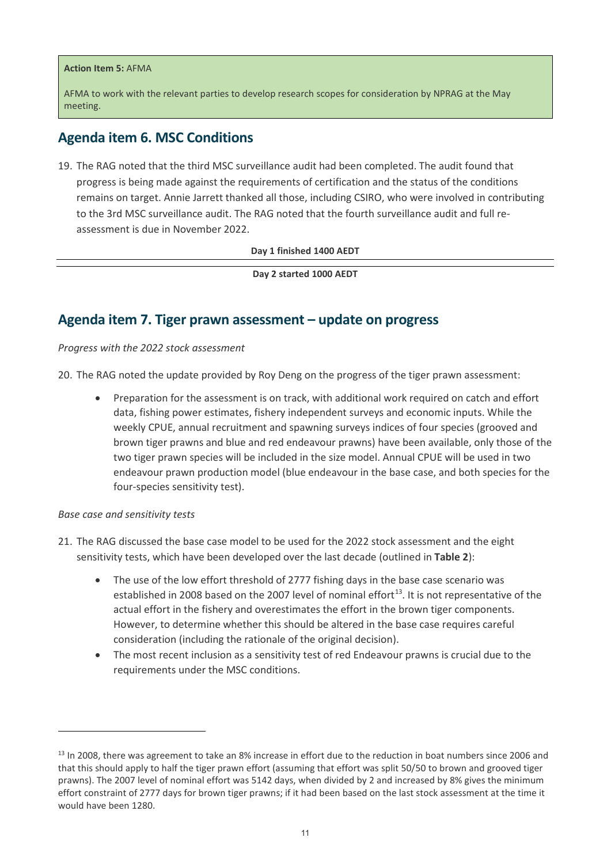#### **Action Item 5:** AFMA

AFMA to work with the relevant parties to develop research scopes for consideration by NPRAG at the May meeting.

### <span id="page-10-0"></span>**Agenda item 6. MSC Conditions**

19. The RAG noted that the third MSC surveillance audit had been completed. The audit found that progress is being made against the requirements of certification and the status of the conditions remains on target. Annie Jarrett thanked all those, including CSIRO, who were involved in contributing to the 3rd MSC surveillance audit. The RAG noted that the fourth surveillance audit and full reassessment is due in November 2022.

**Day 1 finished 1400 AEDT**

**Day 2 started 1000 AEDT**

### <span id="page-10-1"></span>**Agenda item 7. Tiger prawn assessment – update on progress**

*Progress with the 2022 stock assessment*

20. The RAG noted the update provided by Roy Deng on the progress of the tiger prawn assessment:

• Preparation for the assessment is on track, with additional work required on catch and effort data, fishing power estimates, fishery independent surveys and economic inputs. While the weekly CPUE, annual recruitment and spawning surveys indices of four species (grooved and brown tiger prawns and blue and red endeavour prawns) have been available, only those of the two tiger prawn species will be included in the size model. Annual CPUE will be used in two endeavour prawn production model (blue endeavour in the base case, and both species for the four-species sensitivity test).

#### *Base case and sensitivity tests*

- 21. The RAG discussed the base case model to be used for the 2022 stock assessment and the eight sensitivity tests, which have been developed over the last decade (outlined in **Table 2**):
	- The use of the low effort threshold of 2777 fishing days in the base case scenario was established in 2008 based on the 2007 level of nominal effort<sup>[13](#page-10-2)</sup>. It is not representative of the actual effort in the fishery and overestimates the effort in the brown tiger components. However, to determine whether this should be altered in the base case requires careful consideration (including the rationale of the original decision).
	- The most recent inclusion as a sensitivity test of red Endeavour prawns is crucial due to the requirements under the MSC conditions.

<span id="page-10-2"></span> $13$  In 2008, there was agreement to take an 8% increase in effort due to the reduction in boat numbers since 2006 and that this should apply to half the tiger prawn effort (assuming that effort was split 50/50 to brown and grooved tiger prawns). The 2007 level of nominal effort was 5142 days, when divided by 2 and increased by 8% gives the minimum effort constraint of 2777 days for brown tiger prawns; if it had been based on the last stock assessment at the time it would have been 1280.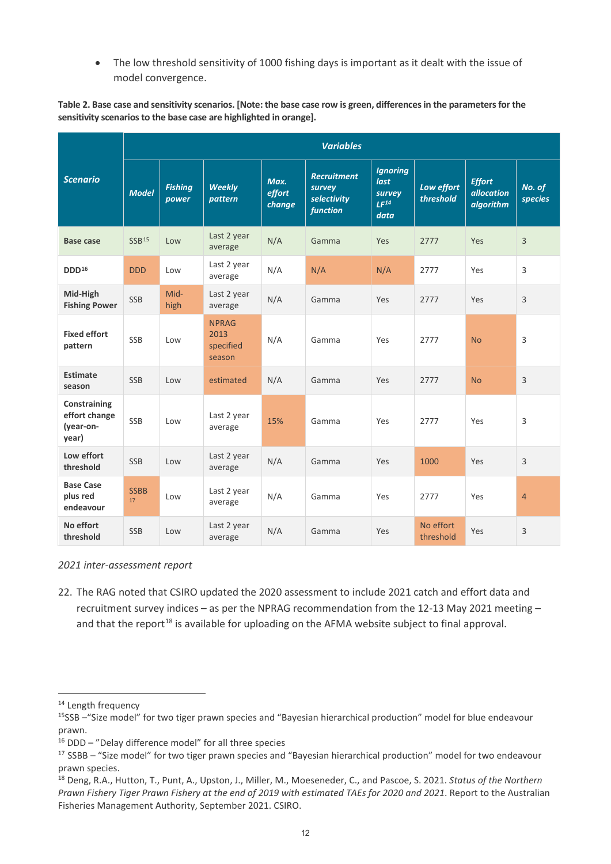• The low threshold sensitivity of 1000 fishing days is important as it dealt with the issue of model convergence.

**Table 2. Base case and sensitivity scenarios. [Note: the base case row is green, differences in the parameters for the sensitivity scenarios to the base case are highlighted in orange].**

|                                                     | <b>Variables</b>  |                         |                                             |                          |                                                         |                                                               |                         |                                                 |                   |
|-----------------------------------------------------|-------------------|-------------------------|---------------------------------------------|--------------------------|---------------------------------------------------------|---------------------------------------------------------------|-------------------------|-------------------------------------------------|-------------------|
| <b>Scenario</b>                                     | <b>Model</b>      | <b>Fishing</b><br>power | <b>Weekly</b><br>pattern                    | Max.<br>effort<br>change | <b>Recruitment</b><br>survey<br>selectivity<br>function | <b>Ignoring</b><br>last<br>survey<br>LF <sup>14</sup><br>data | Low effort<br>threshold | <b>Effort</b><br><b>allocation</b><br>algorithm | No. of<br>species |
| <b>Base case</b>                                    | SSB <sup>15</sup> | Low                     | Last 2 year<br>average                      | N/A                      | Gamma                                                   | Yes                                                           | 2777                    | Yes                                             | 3                 |
| DDD <sup>16</sup>                                   | <b>DDD</b>        | Low                     | Last 2 year<br>average                      | N/A                      | N/A                                                     | N/A                                                           | 2777                    | Yes                                             | $\overline{3}$    |
| Mid-High<br><b>Fishing Power</b>                    | <b>SSB</b>        | Mid-<br>high            | Last 2 year<br>average                      | N/A                      | Gamma                                                   | Yes                                                           | 2777                    | Yes                                             | $\overline{3}$    |
| <b>Fixed effort</b><br>pattern                      | <b>SSB</b>        | Low                     | <b>NPRAG</b><br>2013<br>specified<br>season | N/A                      | Gamma                                                   | Yes                                                           | 2777                    | <b>No</b>                                       | 3                 |
| <b>Estimate</b><br>season                           | <b>SSB</b>        | Low                     | estimated                                   | N/A                      | Gamma                                                   | Yes                                                           | 2777                    | <b>No</b>                                       | $\overline{3}$    |
| Constraining<br>effort change<br>(year-on-<br>year) | <b>SSB</b>        | Low                     | Last 2 year<br>average                      | 15%                      | Gamma                                                   | Yes                                                           | 2777                    | Yes                                             | 3                 |
| Low effort<br>threshold                             | <b>SSB</b>        | Low                     | Last 2 year<br>average                      | N/A                      | Gamma                                                   | Yes                                                           | 1000                    | Yes                                             | $\overline{3}$    |
| <b>Base Case</b><br>plus red<br>endeavour           | <b>SSBB</b><br>17 | Low                     | Last 2 year<br>average                      | N/A                      | Gamma                                                   | Yes                                                           | 2777                    | Yes                                             | $\overline{4}$    |
| No effort<br>threshold                              | <b>SSB</b>        | Low                     | Last 2 year<br>average                      | N/A                      | Gamma                                                   | Yes                                                           | No effort<br>threshold  | Yes                                             | $\overline{3}$    |

#### *2021 inter-assessment report*

22. The RAG noted that CSIRO updated the 2020 assessment to include 2021 catch and effort data and recruitment survey indices – as per the NPRAG recommendation from the 12-13 May 2021 meeting – and that the report<sup>[18](#page-11-4)</sup> is available for uploading on the AFMA website subject to final approval.

<span id="page-11-0"></span><sup>&</sup>lt;sup>14</sup> Length frequency

<span id="page-11-1"></span><sup>15</sup>SSB –"Size model" for two tiger prawn species and "Bayesian hierarchical production" model for blue endeavour prawn.

<span id="page-11-2"></span><sup>16</sup> DDD – "Delay difference model" for all three species

<span id="page-11-3"></span><sup>&</sup>lt;sup>17</sup> SSBB – "Size model" for two tiger prawn species and "Bayesian hierarchical production" model for two endeavour prawn species.

<span id="page-11-4"></span><sup>18</sup> Deng, R.A., Hutton, T., Punt, A., Upston, J., Miller, M., Moeseneder, C., and Pascoe, S. 2021. *Status of the Northern Prawn Fishery Tiger Prawn Fishery at the end of 2019 with estimated TAEs for 2020 and 2021*. Report to the Australian Fisheries Management Authority, September 2021. CSIRO.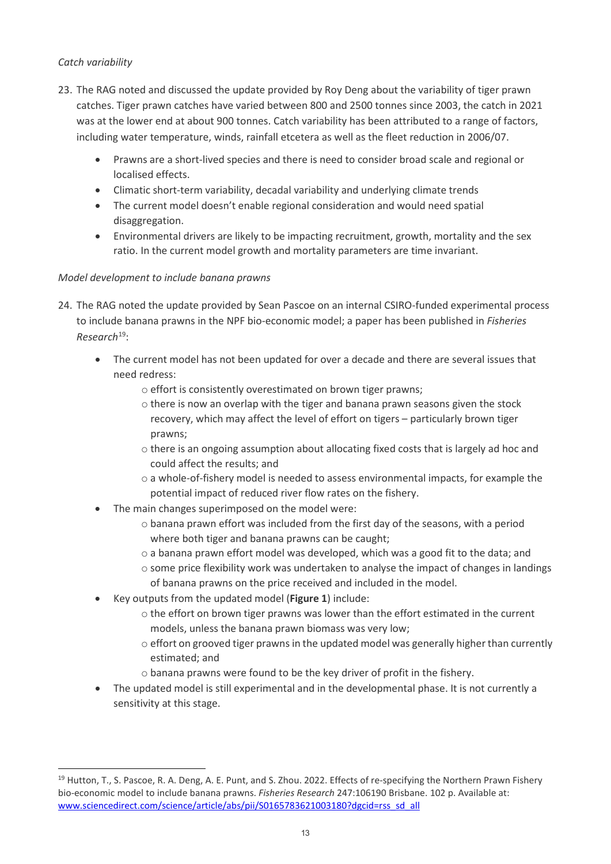### *Catch variability*

-

- 23. The RAG noted and discussed the update provided by Roy Deng about the variability of tiger prawn catches. Tiger prawn catches have varied between 800 and 2500 tonnes since 2003, the catch in 2021 was at the lower end at about 900 tonnes. Catch variability has been attributed to a range of factors, including water temperature, winds, rainfall etcetera as well as the fleet reduction in 2006/07.
	- Prawns are a short-lived species and there is need to consider broad scale and regional or localised effects.
	- Climatic short-term variability, decadal variability and underlying climate trends
	- The current model doesn't enable regional consideration and would need spatial disaggregation.
	- Environmental drivers are likely to be impacting recruitment, growth, mortality and the sex ratio. In the current model growth and mortality parameters are time invariant.

### *Model development to include banana prawns*

- 24. The RAG noted the update provided by Sean Pascoe on an internal CSIRO-funded experimental process to include banana prawns in the NPF bio-economic model; a paper has been published in *Fisheries Research*[19:](#page-12-0)
	- The current model has not been updated for over a decade and there are several issues that need redress:
		- o effort is consistently overestimated on brown tiger prawns;
		- o there is now an overlap with the tiger and banana prawn seasons given the stock recovery, which may affect the level of effort on tigers – particularly brown tiger prawns;
		- $\circ$  there is an ongoing assumption about allocating fixed costs that is largely ad hoc and could affect the results; and
		- o a whole-of-fishery model is needed to assess environmental impacts, for example the potential impact of reduced river flow rates on the fishery.
	- The main changes superimposed on the model were:
		- $\circ$  banana prawn effort was included from the first day of the seasons, with a period where both tiger and banana prawns can be caught;
		- o a banana prawn effort model was developed, which was a good fit to the data; and
		- $\circ$  some price flexibility work was undertaken to analyse the impact of changes in landings of banana prawns on the price received and included in the model.
	- Key outputs from the updated model (**Figure 1**) include:
		- $\circ$  the effort on brown tiger prawns was lower than the effort estimated in the current models, unless the banana prawn biomass was very low;
		- $\circ$  effort on grooved tiger prawns in the updated model was generally higher than currently estimated; and
		- o banana prawns were found to be the key driver of profit in the fishery.
	- The updated model is still experimental and in the developmental phase. It is not currently a sensitivity at this stage.

<span id="page-12-0"></span><sup>&</sup>lt;sup>19</sup> Hutton, T., S. Pascoe, R. A. Deng, A. E. Punt, and S. Zhou. 2022. Effects of re-specifying the Northern Prawn Fishery bio-economic model to include banana prawns. *Fisheries Research* 247:106190 Brisbane. 102 p. Available at: www.sciencedirect.com/science/article/abs/pii/S0165783621003180?dgcid=rss\_sd\_all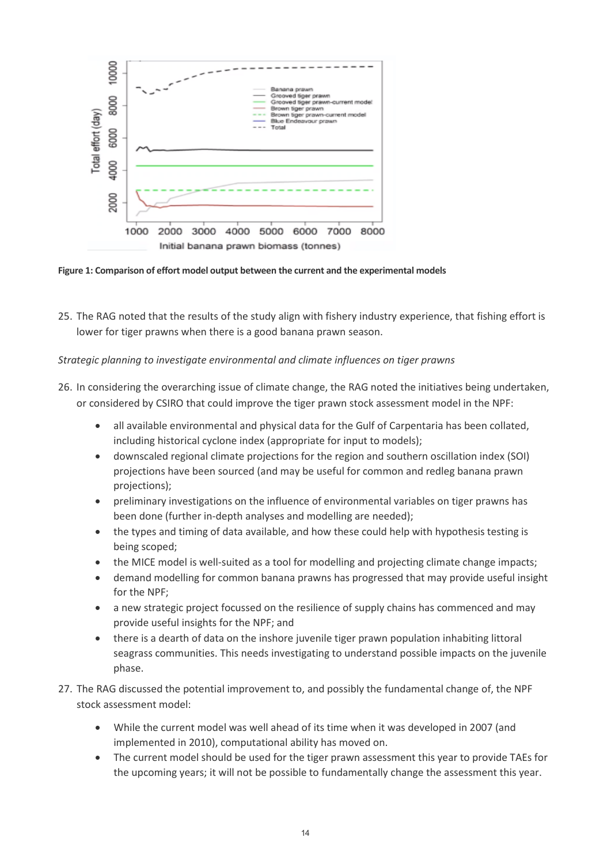

**Figure 1: Comparison of effort model output between the current and the experimental models**

25. The RAG noted that the results of the study align with fishery industry experience, that fishing effort is lower for tiger prawns when there is a good banana prawn season.

*Strategic planning to investigate environmental and climate influences on tiger prawns*

- 26. In considering the overarching issue of climate change, the RAG noted the initiatives being undertaken, or considered by CSIRO that could improve the tiger prawn stock assessment model in the NPF:
	- all available environmental and physical data for the Gulf of Carpentaria has been collated, including historical cyclone index (appropriate for input to models);
	- downscaled regional climate projections for the region and southern oscillation index (SOI) projections have been sourced (and may be useful for common and redleg banana prawn projections);
	- preliminary investigations on the influence of environmental variables on tiger prawns has been done (further in-depth analyses and modelling are needed);
	- the types and timing of data available, and how these could help with hypothesis testing is being scoped;
	- the MICE model is well-suited as a tool for modelling and projecting climate change impacts;
	- demand modelling for common banana prawns has progressed that may provide useful insight for the NPF;
	- a new strategic project focussed on the resilience of supply chains has commenced and may provide useful insights for the NPF; and
	- there is a dearth of data on the inshore juvenile tiger prawn population inhabiting littoral seagrass communities. This needs investigating to understand possible impacts on the juvenile phase.
- 27. The RAG discussed the potential improvement to, and possibly the fundamental change of, the NPF stock assessment model:
	- While the current model was well ahead of its time when it was developed in 2007 (and implemented in 2010), computational ability has moved on.
	- The current model should be used for the tiger prawn assessment this year to provide TAEs for the upcoming years; it will not be possible to fundamentally change the assessment this year.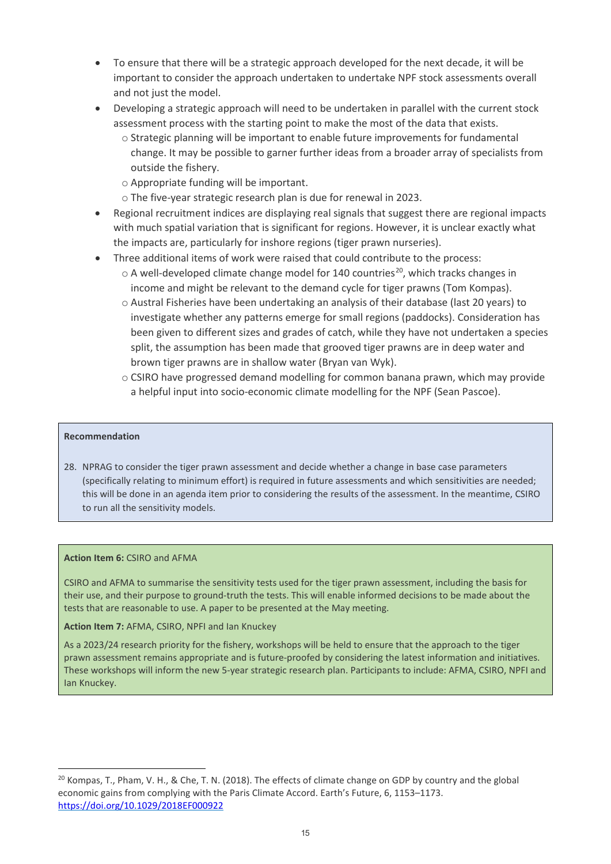- To ensure that there will be a strategic approach developed for the next decade, it will be important to consider the approach undertaken to undertake NPF stock assessments overall and not just the model.
- Developing a strategic approach will need to be undertaken in parallel with the current stock assessment process with the starting point to make the most of the data that exists.
	- $\circ$  Strategic planning will be important to enable future improvements for fundamental change. It may be possible to garner further ideas from a broader array of specialists from outside the fishery.
	- o Appropriate funding will be important.
	- o The five-year strategic research plan is due for renewal in 2023.
- Regional recruitment indices are displaying real signals that suggest there are regional impacts with much spatial variation that is significant for regions. However, it is unclear exactly what the impacts are, particularly for inshore regions (tiger prawn nurseries).
- Three additional items of work were raised that could contribute to the process:
	- $\circ$  A well-developed climate change model for 140 countries<sup>20</sup>, which tracks changes in income and might be relevant to the demand cycle for tiger prawns (Tom Kompas).
	- o Austral Fisheries have been undertaking an analysis of their database (last 20 years) to investigate whether any patterns emerge for small regions (paddocks). Consideration has been given to different sizes and grades of catch, while they have not undertaken a species split, the assumption has been made that grooved tiger prawns are in deep water and brown tiger prawns are in shallow water (Bryan van Wyk).
	- $\circ$  CSIRO have progressed demand modelling for common banana prawn, which may provide a helpful input into socio-economic climate modelling for the NPF (Sean Pascoe).

#### **Recommendation**

-

28. NPRAG to consider the tiger prawn assessment and decide whether a change in base case parameters (specifically relating to minimum effort) is required in future assessments and which sensitivities are needed; this will be done in an agenda item prior to considering the results of the assessment. In the meantime, CSIRO to run all the sensitivity models.

#### **Action Item 6:** CSIRO and AFMA

CSIRO and AFMA to summarise the sensitivity tests used for the tiger prawn assessment, including the basis for their use, and their purpose to ground-truth the tests. This will enable informed decisions to be made about the tests that are reasonable to use. A paper to be presented at the May meeting.

**Action Item 7:** AFMA, CSIRO, NPFI and Ian Knuckey

As a 2023/24 research priority for the fishery, workshops will be held to ensure that the approach to the tiger prawn assessment remains appropriate and is future-proofed by considering the latest information and initiatives. These workshops will inform the new 5-year strategic research plan. Participants to include: AFMA, CSIRO, NPFI and Ian Knuckey.

<span id="page-14-0"></span> $^{20}$  Kompas, T., Pham, V. H., & Che, T. N. (2018). The effects of climate change on GDP by country and the global economic gains from complying with the Paris Climate Accord. Earth's Future, 6, 1153–1173. <https://doi.org/10.1029/2018EF000922>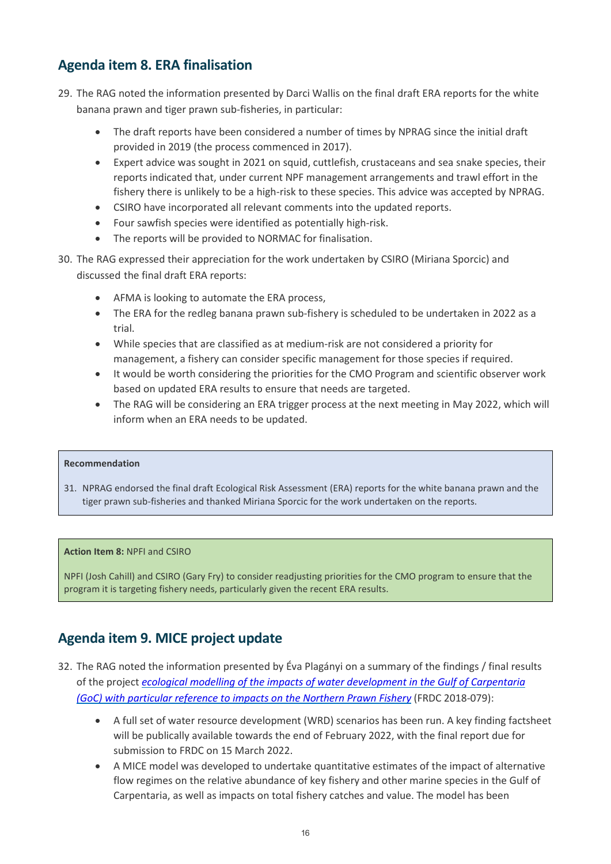### <span id="page-15-0"></span>**Agenda item 8. ERA finalisation**

- 29. The RAG noted the information presented by Darci Wallis on the final draft ERA reports for the white banana prawn and tiger prawn sub-fisheries, in particular:
	- The draft reports have been considered a number of times by NPRAG since the initial draft provided in 2019 (the process commenced in 2017).
	- Expert advice was sought in 2021 on squid, cuttlefish, crustaceans and sea snake species, their reports indicated that, under current NPF management arrangements and trawl effort in the fishery there is unlikely to be a high-risk to these species. This advice was accepted by NPRAG.
	- CSIRO have incorporated all relevant comments into the updated reports.
	- Four sawfish species were identified as potentially high-risk.
	- The reports will be provided to NORMAC for finalisation.
- 30. The RAG expressed their appreciation for the work undertaken by CSIRO (Miriana Sporcic) and discussed the final draft ERA reports:
	- AFMA is looking to automate the ERA process,
	- The ERA for the redleg banana prawn sub-fishery is scheduled to be undertaken in 2022 as a trial.
	- While species that are classified as at medium-risk are not considered a priority for management, a fishery can consider specific management for those species if required.
	- It would be worth considering the priorities for the CMO Program and scientific observer work based on updated ERA results to ensure that needs are targeted.
	- The RAG will be considering an ERA trigger process at the next meeting in May 2022, which will inform when an ERA needs to be updated.

#### **Recommendation**

31. NPRAG endorsed the final draft Ecological Risk Assessment (ERA) reports for the white banana prawn and the tiger prawn sub-fisheries and thanked Miriana Sporcic for the work undertaken on the reports.

### **Action Item 8:** NPFI and CSIRO

NPFI (Josh Cahill) and CSIRO (Gary Fry) to consider readjusting priorities for the CMO program to ensure that the program it is targeting fishery needs, particularly given the recent ERA results.

## <span id="page-15-1"></span>**Agenda item 9. MICE project update**

- 32. The RAG noted the information presented by Éva Plagányi on a summary of the findings / final results of the project *[ecological modelling of the impacts of water development in the Gulf of Carpentaria](https://www.frdc.com.au/project/2018-079) (GoC) [with particular reference to impacts on the Northern Prawn Fishery](https://www.frdc.com.au/project/2018-079)* (FRDC 2018-079):
	- A full set of water resource development (WRD) scenarios has been run. A key finding factsheet will be publically available towards the end of February 2022, with the final report due for submission to FRDC on 15 March 2022.
	- A MICE model was developed to undertake quantitative estimates of the impact of alternative flow regimes on the relative abundance of key fishery and other marine species in the Gulf of Carpentaria, as well as impacts on total fishery catches and value. The model has been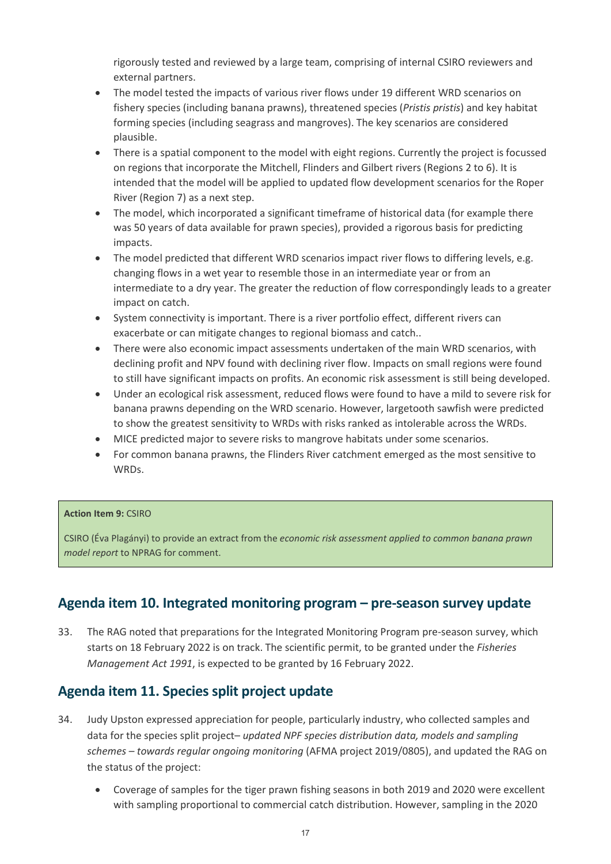rigorously tested and reviewed by a large team, comprising of internal CSIRO reviewers and external partners.

- The model tested the impacts of various river flows under 19 different WRD scenarios on fishery species (including banana prawns), threatened species (*Pristis pristis*) and key habitat forming species (including seagrass and mangroves). The key scenarios are considered plausible.
- There is a spatial component to the model with eight regions. Currently the project is focussed on regions that incorporate the Mitchell, Flinders and Gilbert rivers (Regions 2 to 6). It is intended that the model will be applied to updated flow development scenarios for the Roper River (Region 7) as a next step.
- The model, which incorporated a significant timeframe of historical data (for example there was 50 years of data available for prawn species), provided a rigorous basis for predicting impacts.
- The model predicted that different WRD scenarios impact river flows to differing levels, e.g. changing flows in a wet year to resemble those in an intermediate year or from an intermediate to a dry year. The greater the reduction of flow correspondingly leads to a greater impact on catch.
- System connectivity is important. There is a river portfolio effect, different rivers can exacerbate or can mitigate changes to regional biomass and catch..
- There were also economic impact assessments undertaken of the main WRD scenarios, with declining profit and NPV found with declining river flow. Impacts on small regions were found to still have significant impacts on profits. An economic risk assessment is still being developed.
- Under an ecological risk assessment, reduced flows were found to have a mild to severe risk for banana prawns depending on the WRD scenario. However, largetooth sawfish were predicted to show the greatest sensitivity to WRDs with risks ranked as intolerable across the WRDs.
- MICE predicted major to severe risks to mangrove habitats under some scenarios.
- For common banana prawns, the Flinders River catchment emerged as the most sensitive to WRDs.

### **Action Item 9:** CSIRO

CSIRO (Éva Plagányi) to provide an extract from the *economic risk assessment applied to common banana prawn model report* to NPRAG for comment.

### <span id="page-16-0"></span>**Agenda item 10. Integrated monitoring program – pre-season survey update**

33. The RAG noted that preparations for the Integrated Monitoring Program pre-season survey, which starts on 18 February 2022 is on track. The scientific permit, to be granted under the *Fisheries Management Act 1991*, is expected to be granted by 16 February 2022.

### <span id="page-16-1"></span>**Agenda item 11. Species split project update**

- 34. Judy Upston expressed appreciation for people, particularly industry, who collected samples and data for the species split project– *updated NPF species distribution data, models and sampling schemes – towards regular ongoing monitoring* (AFMA project 2019/0805), and updated the RAG on the status of the project:
	- Coverage of samples for the tiger prawn fishing seasons in both 2019 and 2020 were excellent with sampling proportional to commercial catch distribution. However, sampling in the 2020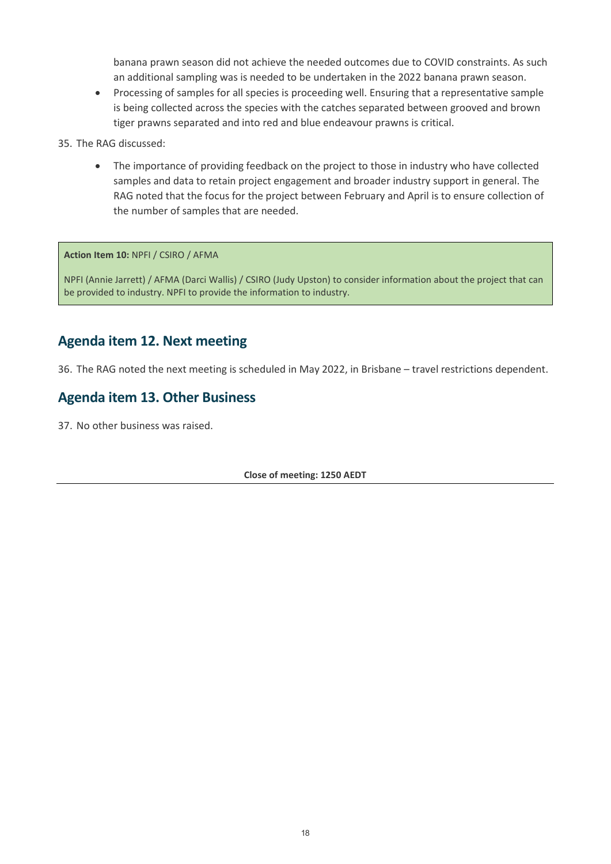banana prawn season did not achieve the needed outcomes due to COVID constraints. As such an additional sampling was is needed to be undertaken in the 2022 banana prawn season.

- Processing of samples for all species is proceeding well. Ensuring that a representative sample is being collected across the species with the catches separated between grooved and brown tiger prawns separated and into red and blue endeavour prawns is critical.
- 35. The RAG discussed:
	- The importance of providing feedback on the project to those in industry who have collected samples and data to retain project engagement and broader industry support in general. The RAG noted that the focus for the project between February and April is to ensure collection of the number of samples that are needed.

**Action Item 10:** NPFI / CSIRO / AFMA

NPFI (Annie Jarrett) / AFMA (Darci Wallis) / CSIRO (Judy Upston) to consider information about the project that can be provided to industry. NPFI to provide the information to industry.

### <span id="page-17-0"></span>**Agenda item 12. Next meeting**

36. The RAG noted the next meeting is scheduled in May 2022, in Brisbane – travel restrictions dependent.

### <span id="page-17-1"></span>**Agenda item 13. Other Business**

<span id="page-17-2"></span>37. No other business was raised.

**Close of meeting: 1250 AEDT**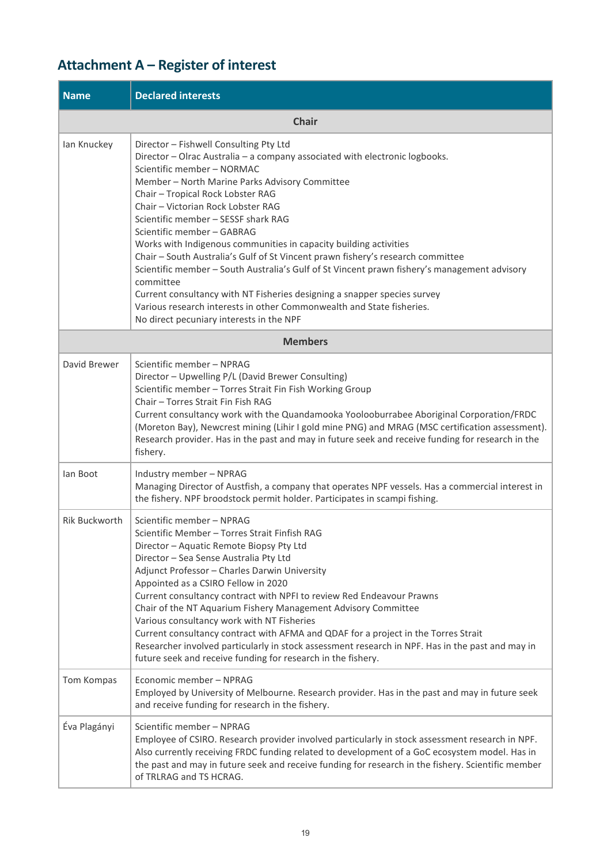## <span id="page-18-0"></span>**Attachment A – Register of interest**

| <b>Name</b>          | <b>Declared interests</b>                                                                                                                                                                                                                                                                                                                                                                                                                                                                                                                                                                                                                                                                                                                                                                                                   |  |  |  |  |  |
|----------------------|-----------------------------------------------------------------------------------------------------------------------------------------------------------------------------------------------------------------------------------------------------------------------------------------------------------------------------------------------------------------------------------------------------------------------------------------------------------------------------------------------------------------------------------------------------------------------------------------------------------------------------------------------------------------------------------------------------------------------------------------------------------------------------------------------------------------------------|--|--|--|--|--|
|                      | <b>Chair</b>                                                                                                                                                                                                                                                                                                                                                                                                                                                                                                                                                                                                                                                                                                                                                                                                                |  |  |  |  |  |
| lan Knuckey          | Director - Fishwell Consulting Pty Ltd<br>Director - Olrac Australia - a company associated with electronic logbooks.<br>Scientific member - NORMAC<br>Member - North Marine Parks Advisory Committee<br>Chair - Tropical Rock Lobster RAG<br>Chair - Victorian Rock Lobster RAG<br>Scientific member - SESSF shark RAG<br>Scientific member - GABRAG<br>Works with Indigenous communities in capacity building activities<br>Chair - South Australia's Gulf of St Vincent prawn fishery's research committee<br>Scientific member - South Australia's Gulf of St Vincent prawn fishery's management advisory<br>committee<br>Current consultancy with NT Fisheries designing a snapper species survey<br>Various research interests in other Commonwealth and State fisheries.<br>No direct pecuniary interests in the NPF |  |  |  |  |  |
|                      | <b>Members</b>                                                                                                                                                                                                                                                                                                                                                                                                                                                                                                                                                                                                                                                                                                                                                                                                              |  |  |  |  |  |
| David Brewer         | Scientific member - NPRAG<br>Director - Upwelling P/L (David Brewer Consulting)<br>Scientific member - Torres Strait Fin Fish Working Group<br>Chair - Torres Strait Fin Fish RAG<br>Current consultancy work with the Quandamooka Yoolooburrabee Aboriginal Corporation/FRDC<br>(Moreton Bay), Newcrest mining (Lihir I gold mine PNG) and MRAG (MSC certification assessment).<br>Research provider. Has in the past and may in future seek and receive funding for research in the<br>fishery.                                                                                                                                                                                                                                                                                                                           |  |  |  |  |  |
| lan Boot             | Industry member - NPRAG<br>Managing Director of Austfish, a company that operates NPF vessels. Has a commercial interest in<br>the fishery. NPF broodstock permit holder. Participates in scampi fishing.                                                                                                                                                                                                                                                                                                                                                                                                                                                                                                                                                                                                                   |  |  |  |  |  |
| <b>Rik Buckworth</b> | Scientific member - NPRAG<br>Scientific Member - Torres Strait Finfish RAG<br>Director - Aquatic Remote Biopsy Pty Ltd<br>Director - Sea Sense Australia Pty Ltd<br>Adjunct Professor - Charles Darwin University<br>Appointed as a CSIRO Fellow in 2020<br>Current consultancy contract with NPFI to review Red Endeavour Prawns<br>Chair of the NT Aquarium Fishery Management Advisory Committee<br>Various consultancy work with NT Fisheries<br>Current consultancy contract with AFMA and QDAF for a project in the Torres Strait<br>Researcher involved particularly in stock assessment research in NPF. Has in the past and may in<br>future seek and receive funding for research in the fishery.                                                                                                                 |  |  |  |  |  |
| Tom Kompas           | Economic member - NPRAG<br>Employed by University of Melbourne. Research provider. Has in the past and may in future seek<br>and receive funding for research in the fishery.                                                                                                                                                                                                                                                                                                                                                                                                                                                                                                                                                                                                                                               |  |  |  |  |  |
| Éva Plagányi         | Scientific member - NPRAG<br>Employee of CSIRO. Research provider involved particularly in stock assessment research in NPF.<br>Also currently receiving FRDC funding related to development of a GoC ecosystem model. Has in<br>the past and may in future seek and receive funding for research in the fishery. Scientific member<br>of TRLRAG and TS HCRAG.                                                                                                                                                                                                                                                                                                                                                                                                                                                              |  |  |  |  |  |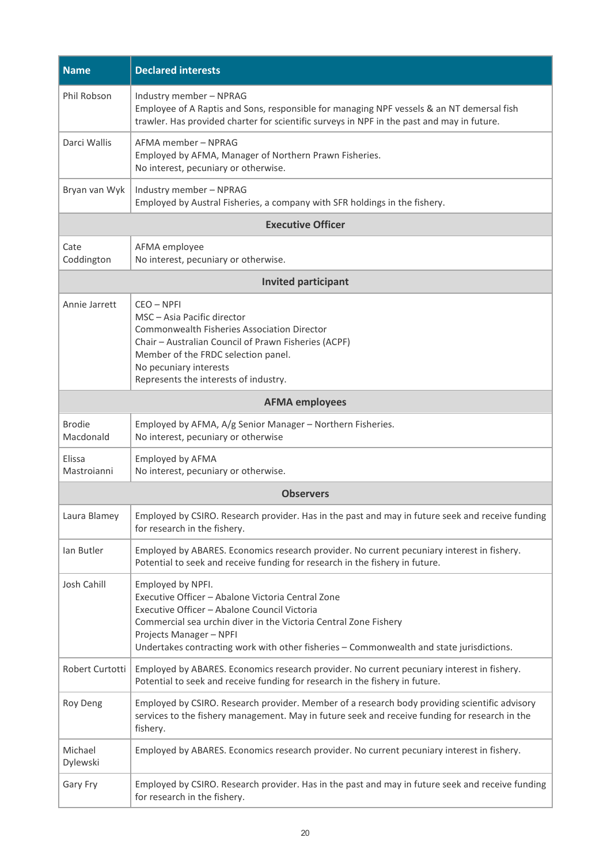| <b>Name</b>                | <b>Declared interests</b>                                                                                                                                                                                                                                                                                         |
|----------------------------|-------------------------------------------------------------------------------------------------------------------------------------------------------------------------------------------------------------------------------------------------------------------------------------------------------------------|
| Phil Robson                | Industry member - NPRAG<br>Employee of A Raptis and Sons, responsible for managing NPF vessels & an NT demersal fish<br>trawler. Has provided charter for scientific surveys in NPF in the past and may in future.                                                                                                |
| Darci Wallis               | AFMA member - NPRAG<br>Employed by AFMA, Manager of Northern Prawn Fisheries.<br>No interest, pecuniary or otherwise.                                                                                                                                                                                             |
| Bryan van Wyk              | Industry member - NPRAG<br>Employed by Austral Fisheries, a company with SFR holdings in the fishery.                                                                                                                                                                                                             |
|                            | <b>Executive Officer</b>                                                                                                                                                                                                                                                                                          |
| Cate<br>Coddington         | AFMA employee<br>No interest, pecuniary or otherwise.                                                                                                                                                                                                                                                             |
|                            | <b>Invited participant</b>                                                                                                                                                                                                                                                                                        |
| Annie Jarrett              | CEO - NPFI<br>MSC - Asia Pacific director<br><b>Commonwealth Fisheries Association Director</b><br>Chair - Australian Council of Prawn Fisheries (ACPF)<br>Member of the FRDC selection panel.<br>No pecuniary interests<br>Represents the interests of industry.                                                 |
|                            | <b>AFMA employees</b>                                                                                                                                                                                                                                                                                             |
| <b>Brodie</b><br>Macdonald | Employed by AFMA, A/g Senior Manager - Northern Fisheries.<br>No interest, pecuniary or otherwise                                                                                                                                                                                                                 |
| Elissa<br>Mastroianni      | Employed by AFMA<br>No interest, pecuniary or otherwise.                                                                                                                                                                                                                                                          |
|                            | <b>Observers</b>                                                                                                                                                                                                                                                                                                  |
| Laura Blamey               | Employed by CSIRO. Research provider. Has in the past and may in future seek and receive funding<br>for research in the fishery.                                                                                                                                                                                  |
| lan Butler                 | Employed by ABARES. Economics research provider. No current pecuniary interest in fishery.<br>Potential to seek and receive funding for research in the fishery in future.                                                                                                                                        |
| Josh Cahill                | Employed by NPFI.<br>Executive Officer - Abalone Victoria Central Zone<br>Executive Officer - Abalone Council Victoria<br>Commercial sea urchin diver in the Victoria Central Zone Fishery<br>Projects Manager - NPFI<br>Undertakes contracting work with other fisheries - Commonwealth and state jurisdictions. |
| Robert Curtotti            | Employed by ABARES. Economics research provider. No current pecuniary interest in fishery.<br>Potential to seek and receive funding for research in the fishery in future.                                                                                                                                        |
| Roy Deng                   | Employed by CSIRO. Research provider. Member of a research body providing scientific advisory<br>services to the fishery management. May in future seek and receive funding for research in the<br>fishery.                                                                                                       |
| Michael<br>Dylewski        | Employed by ABARES. Economics research provider. No current pecuniary interest in fishery.                                                                                                                                                                                                                        |
| Gary Fry                   | Employed by CSIRO. Research provider. Has in the past and may in future seek and receive funding<br>for research in the fishery.                                                                                                                                                                                  |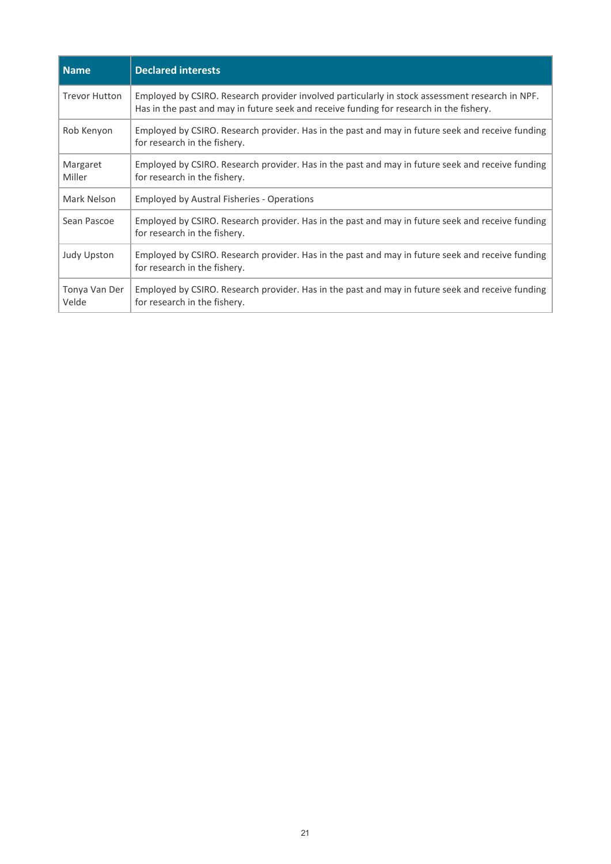| Name                   | <b>Declared interests</b>                                                                                                                                                                  |
|------------------------|--------------------------------------------------------------------------------------------------------------------------------------------------------------------------------------------|
| <b>Trevor Hutton</b>   | Employed by CSIRO. Research provider involved particularly in stock assessment research in NPF.<br>Has in the past and may in future seek and receive funding for research in the fishery. |
| Rob Kenyon             | Employed by CSIRO. Research provider. Has in the past and may in future seek and receive funding<br>for research in the fishery.                                                           |
| Margaret<br>Miller     | Employed by CSIRO. Research provider. Has in the past and may in future seek and receive funding<br>for research in the fishery.                                                           |
| Mark Nelson            | <b>Employed by Austral Fisheries - Operations</b>                                                                                                                                          |
| Sean Pascoe            | Employed by CSIRO. Research provider. Has in the past and may in future seek and receive funding<br>for research in the fishery.                                                           |
| <b>Judy Upston</b>     | Employed by CSIRO. Research provider. Has in the past and may in future seek and receive funding<br>for research in the fishery.                                                           |
| Tonya Van Der<br>Velde | Employed by CSIRO. Research provider. Has in the past and may in future seek and receive funding<br>for research in the fishery.                                                           |